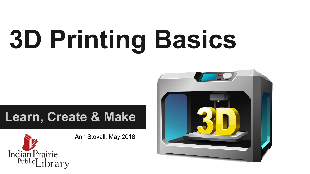# **3D Printing Basics**

#### **Learn, Create & Make**



Ann Stovall, May 2018

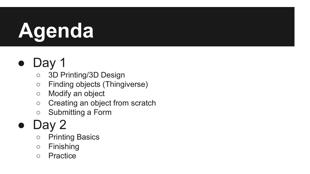## **Agenda**

#### Day 1

- 3D Printing/3D Design
- Finding objects (Thingiverse)
- Modify an object
- Creating an object from scratch
- Submitting a Form

#### Day 2

- Printing Basics
- Finishing
- Practice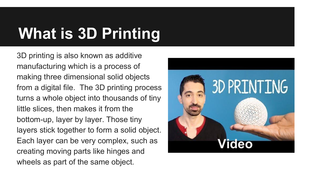### **What is 3D Printing**

3D printing is also known as additive manufacturing which is a process of making three dimensional solid objects from a digital file. The 3D printing process turns a whole object into thousands of tiny little slices, then makes it from the bottom-up, layer by layer. Those tiny layers stick together to form a solid object. Each layer can be very complex, such as creating moving parts like hinges and wheels as part of the same object.

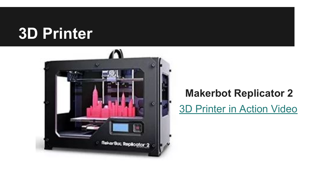#### **3D Printer**



#### [3D Printer in Action Video](https://vimeo.com/84789998) **Makerbot Replicator 2**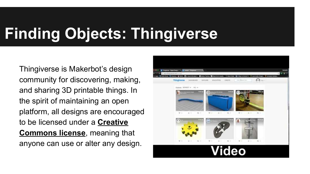### **Finding Objects: Thingiverse**

Thingiverse is Makerbot's design community for discovering, making, and sharing 3D printable things. In the spirit of maintaining an open platform, all designs are encouraged to be licensed under a **[Creative](http://creativecommons.org/) [Commons license](http://creativecommons.org/)**, meaning that anyone can use or alter any design.

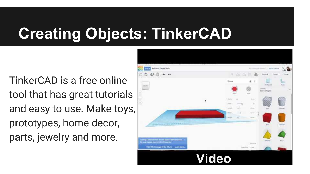#### **Creating Objects: TinkerCAD**

TinkerCAD is a free online tool that has great tutorials and easy to use. Make toys, prototypes, home decor, parts, jewelry and more.

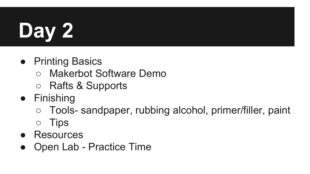## **Day 2**

- Printing Basics
	- **Makerbot Software Demo**
	- Rafts & Supports
- Finishing
	- Tools- sandpaper, rubbing alcohol, primer/filler, paint
	- Tips
- **Resources**
- **Open Lab Practice Time**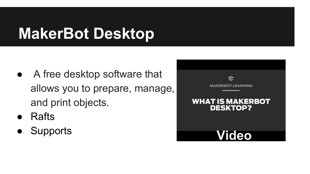#### **MakerBot Desktop**

- A free desktop software that allows you to prepare, manage, and print objects.
- **Rafts**
- 

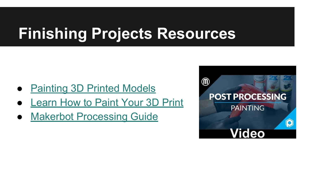#### **Finishing Projects Resources**

- [Painting 3D Printed Models](https://www.makerbot.com/media-center/2014/01/27/makerbot-studio-painting-3d-printed-models)
- [Learn How to Paint Your 3D Print](https://pinshape.com/blog/4-easy-steps-to-painting-3d-prints/)
- [Makerbot Processing Guide](https://www.makerbot.com/professionals/post-processing/painting/)

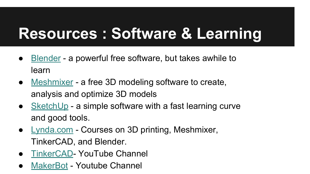#### **Resources : Software & Learning**

- [Blender](https://www.blender.org/) a powerful free software, but takes awhile to learn
- [Meshmixer](http://www.meshmixer.com/) a free 3D modeling software to create, analysis and optimize 3D models
- [SketchUp](https://www.sketchup.com/) a simple software with a fast learning curve and good tools.
- [Lynda.com](https://www.lynda.com/portal/sip?org=ippl.info) Courses on 3D printing, Meshmixer, TinkerCAD, and Blender.
- [TinkerCAD](https://www.youtube.com/user/Tinkercad)-YouTube Channel
- [MakerBot](https://www.youtube.com/user/makerbot/videos)  Youtube Channel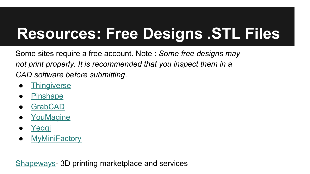#### **Resources: Free Designs .STL Files**

Some sites require a free account. Note : *Some free designs may not print properly. It is recommended that you inspect them in a CAD software before submitting.*

- **[Thingiverse](https://www.thingiverse.com/)**
- **[Pinshape](https://pinshape.com/)**
- **[GrabCAD](https://grabcad.com/library)**
- [YouMagine](http://youmagine)
- [Yeggi](http://www.yeggi.com/)
- **[MyMiniFactory](http://www.yeggi.com/)**

[Shapeways](https://www.shapeways.com/)- 3D printing marketplace and services